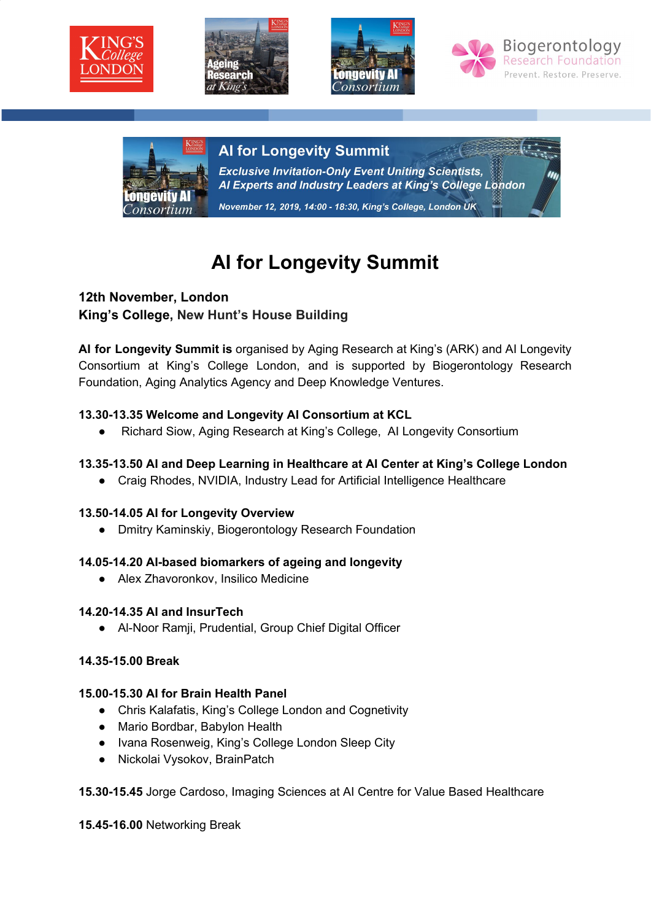







# **Al for Longevity Summit**

**Exclusive Invitation-Only Event Uniting Scientists,** Al Experts and Industry Leaders at King's College London November 12, 2019, 14:00 - 18:30, King's College, London UK

# **AI for Longevity Summit**

# **12th November, London King's College, New Hunt's House Building**

**AI for Longevity Summit is** organised by Aging Research at King's (ARK) and AI Longevity Consortium at King's College London, and is supported by Biogerontology Research Foundation, Aging Analytics Agency and Deep Knowledge Ventures.

# **13.30-13.35 Welcome and Longevity AI Consortium at KCL**

● Richard Siow, Aging Research at King's College, AI Longevity Consortium

# **13.35-13.50 AI and Deep Learning in Healthcare at AI Center at King's College London**

● Craig Rhodes, NVIDIA, Industry Lead for Artificial Intelligence Healthcare

# **13.50-14.05 AI for Longevity Overview**

● Dmitry Kaminskiy, Biogerontology Research Foundation

# **14.05-14.20 AI-based biomarkers of ageing and longevity**

● Alex Zhavoronkov, Insilico Medicine

# **14.20-14.35 AI and InsurTech**

● Al-Noor Ramji, Prudential, Group Chief Digital Officer

# **14.35-15.00 Break**

#### **15.00-15.30 AI for Brain Health Panel**

- Chris Kalafatis, King's College London and Cognetivity
- Mario Bordbar, Babylon Health
- Ivana Rosenweig, King's College London Sleep City
- Nickolai Vysokov, BrainPatch

#### **15.30-15.45** Jorge Cardoso, Imaging Sciences at AI Centre for Value Based Healthcare

**15.45-16.00** Networking Break